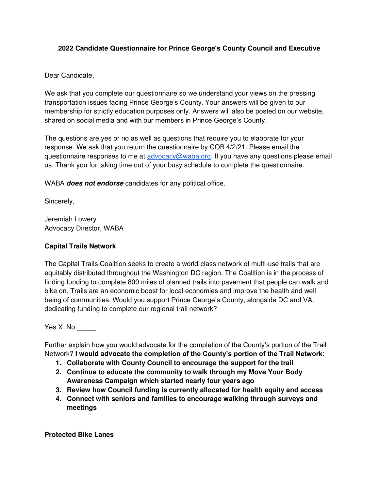### **2022 Candidate Questionnaire for Prince George's County Council and Executive**

Dear Candidate,

We ask that you complete our questionnaire so we understand your views on the pressing transportation issues facing Prince George's County. Your answers will be given to our membership for strictly education purposes only. Answers will also be posted on our website, shared on social media and with our members in Prince George's County.

The questions are yes or no as well as questions that require you to elaborate for your response. We ask that you return the questionnaire by COB 4/2/21. Please email the questionnaire responses to me at [advocacy@waba.org.](mailto:advocacy@waba.org) If you have any questions please email us. Thank you for taking time out of your busy schedule to complete the questionnaire.

WABA **does not endorse** candidates for any political office.

Sincerely,

Jeremiah Lowery Advocacy Director, WABA

### **Capital Trails Network**

The Capital Trails Coalition seeks to create a world-class network of multi-use trails that are equitably distributed throughout the Washington DC region. The Coalition is in the process of finding funding to complete 800 miles of planned trails into pavement that people can walk and bike on. Trails are an economic boost for local economies and improve the health and well being of communities. Would you support Prince George's County, alongside DC and VA, dedicating funding to complete our regional trail network?

Yes X No

Further explain how you would advocate for the completion of the County's portion of the Trail Network? **I would advocate the completion of the County's portion of the Trail Network:**

- **1. Collaborate with County Council to encourage the support for the trail**
- **2. Continue to educate the community to walk through my Move Your Body Awareness Campaign which started nearly four years ago**
- **3. Review how Council funding is currently allocated for health equity and access**
- **4. Connect with seniors and families to encourage walking through surveys and meetings**

**Protected Bike Lanes**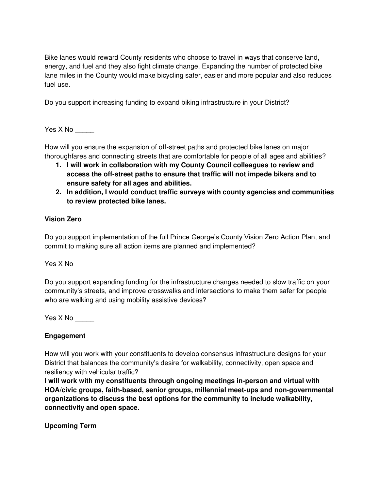Bike lanes would reward County residents who choose to travel in ways that conserve land, energy, and fuel and they also fight climate change. Expanding the number of protected bike lane miles in the County would make bicycling safer, easier and more popular and also reduces fuel use.

Do you support increasing funding to expand biking infrastructure in your District?

Yes X No \_\_\_\_\_

How will you ensure the expansion of off-street paths and protected bike lanes on major thoroughfares and connecting streets that are comfortable for people of all ages and abilities?

- **1. I will work in collaboration with my County Council colleagues to review and access the off-street paths to ensure that traffic will not impede bikers and to ensure safety for all ages and abilities.**
- **2. In addition, I would conduct traffic surveys with county agencies and communities to review protected bike lanes.**

### **Vision Zero**

Do you support implementation of the full Prince George's County Vision Zero Action Plan, and commit to making sure all action items are planned and implemented?

 $Yes X No$ 

Do you support expanding funding for the infrastructure changes needed to slow traffic on your community's streets, and improve crosswalks and intersections to make them safer for people who are walking and using mobility assistive devices?

 $Yes X No$ 

### **Engagement**

How will you work with your constituents to develop consensus infrastructure designs for your District that balances the community's desire for walkability, connectivity, open space and resiliency with vehicular traffic?

**I will work with my constituents through ongoing meetings in-person and virtual with HOA/civic groups, faith-based, senior groups, millennial meet-ups and non-governmental organizations to discuss the best options for the community to include walkability, connectivity and open space.** 

**Upcoming Term**